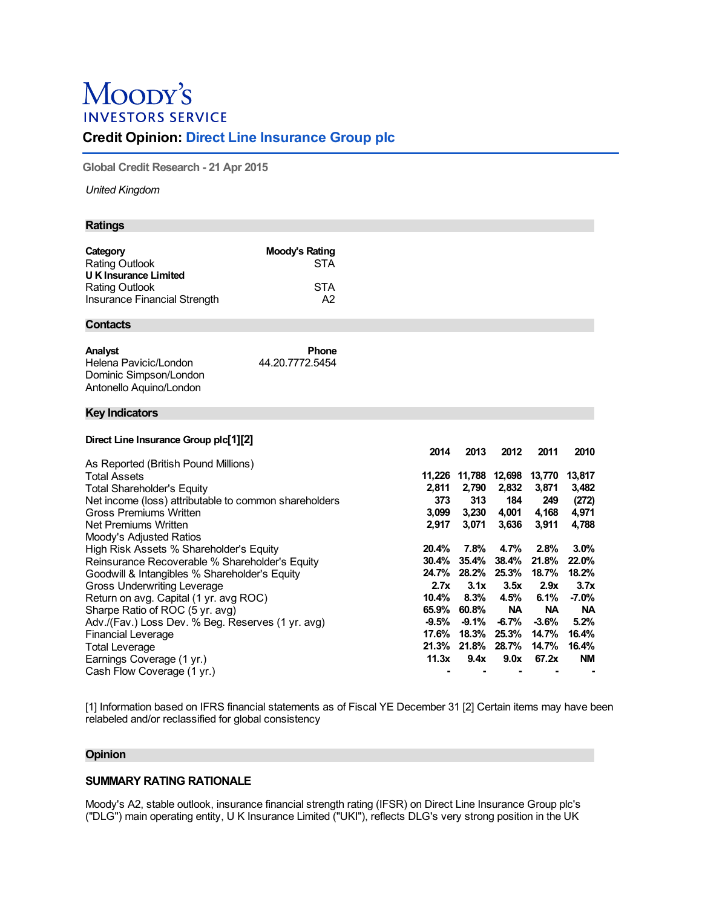# Moody's **INVESTORS SERVICE**

## **Credit Opinion: Direct Line Insurance Group plc**

**Global Credit Research - 21 Apr 2015**

*United Kingdom*

### **Ratings**

| Category                     | Moody's Rating |
|------------------------------|----------------|
| <b>Rating Outlook</b>        | <b>STA</b>     |
| <b>UK Insurance Limited</b>  |                |
| <b>Rating Outlook</b>        | STA            |
| Insurance Financial Strength | A2             |

## **Contacts**

| Analyst                 | <b>Phone</b>    |
|-------------------------|-----------------|
| Helena Pavicic/London   | 44.20.7772.5454 |
| Dominic Simpson/London  |                 |
| Antonello Aquino/London |                 |

#### **Key Indicators**

## **Direct Line Insurance Group plc[1][2]**

|                                                       | 2014    | 2013     | 2012      | 2011      | 2010      |
|-------------------------------------------------------|---------|----------|-----------|-----------|-----------|
| As Reported (British Pound Millions)                  |         |          |           |           |           |
| Total Assets                                          | 11.226  | 11,788   | 12,698    | 13,770    | 13,817    |
| <b>Total Shareholder's Equity</b>                     | 2,811   | 2,790    | 2,832     | 3,871     | 3,482     |
| Net income (loss) attributable to common shareholders | 373     | 313      | 184       | 249       | (272)     |
| Gross Premiums Written                                | 3,099   | 3,230    | 4,001     | 4,168     | 4,971     |
| Net Premiums Written                                  | 2,917   | 3,071    | 3,636     | 3,911     | 4,788     |
| Moody's Adjusted Ratios                               |         |          |           |           |           |
| High Risk Assets % Shareholder's Equity               | 20.4%   | 7.8%     | 4.7%      | 2.8%      | 3.0%      |
| Reinsurance Recoverable % Shareholder's Equity        | 30.4%   | 35.4%    | 38.4%     | 21.8%     | 22.0%     |
| Goodwill & Intangibles % Shareholder's Equity         | 24.7%   | 28.2%    | 25.3%     | 18.7%     | 18.2%     |
| Gross Underwriting Leverage                           | 2.7x    | 3.1x     | 3.5x      | 2.9x      | 3.7x      |
| Return on avg. Capital (1 yr. avg ROC)                | 10.4%   | 8.3%     | 4.5%      | 6.1%      | $-7.0\%$  |
| Sharpe Ratio of ROC (5 yr. avg)                       | 65.9%   | 60.8%    | <b>NA</b> | <b>NA</b> | <b>NA</b> |
| Adv./(Fav.) Loss Dev. % Beg. Reserves (1 yr. avg)     | $-9.5%$ | $-9.1\%$ | $-6.7%$   | $-3.6%$   | 5.2%      |
| <b>Financial Leverage</b>                             | 17.6%   | 18.3%    | 25.3%     | 14.7%     | 16.4%     |
| <b>Total Leverage</b>                                 | 21.3%   | 21.8%    | 28.7%     | 14.7%     | 16.4%     |
| Earnings Coverage (1 yr.)                             | 11.3x   | 9.4x     | 9.0x      | 67.2x     | <b>NM</b> |
| Cash Flow Coverage (1 yr.)                            |         |          |           |           |           |

[1] Information based on IFRS financial statements as of Fiscal YE December 31 [2] Certain items may have been relabeled and/or reclassified for global consistency

## **Opinion**

## **SUMMARY RATING RATIONALE**

Moody's A2, stable outlook, insurance financial strength rating (IFSR) on Direct Line Insurance Group plc's ("DLG") main operating entity, U K Insurance Limited ("UKI"), reflects DLG's very strong position in the UK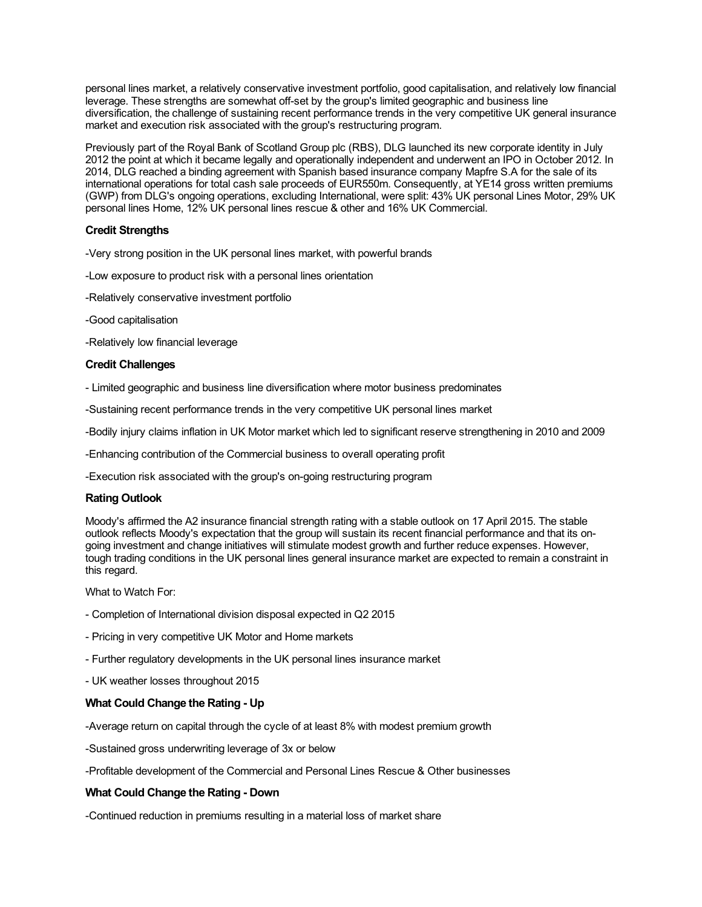personal lines market, a relatively conservative investment portfolio, good capitalisation, and relatively low financial leverage. These strengths are somewhat off-set by the group's limited geographic and business line diversification, the challenge of sustaining recent performance trends in the very competitive UK general insurance market and execution risk associated with the group's restructuring program.

Previously part of the Royal Bank of Scotland Group plc (RBS), DLG launched its new corporate identity in July 2012 the point at which it became legally and operationally independent and underwent an IPO in October 2012. In 2014, DLG reached a binding agreement with Spanish based insurance company Mapfre S.A for the sale of its international operations for total cash sale proceeds of EUR550m. Consequently, at YE14 gross written premiums (GWP) from DLG's ongoing operations, excluding International, were split: 43% UK personal Lines Motor, 29% UK personal lines Home, 12% UK personal lines rescue & other and 16% UK Commercial.

## **Credit Strengths**

-Very strong position in the UK personal lines market, with powerful brands

- -Low exposure to product risk with a personal lines orientation
- -Relatively conservative investment portfolio
- -Good capitalisation
- -Relatively low financial leverage

## **Credit Challenges**

- Limited geographic and business line diversification where motor business predominates
- -Sustaining recent performance trends in the very competitive UK personal lines market
- -Bodily injury claims inflation in UK Motor market which led to significant reserve strengthening in 2010 and 2009
- -Enhancing contribution of the Commercial business to overall operating profit

-Execution risk associated with the group's on-going restructuring program

## **Rating Outlook**

Moody's affirmed the A2 insurance financial strength rating with a stable outlook on 17 April 2015. The stable outlook reflects Moody's expectation that the group will sustain its recent financial performance and that its ongoing investment and change initiatives will stimulate modest growth and further reduce expenses. However, tough trading conditions in the UK personal lines general insurance market are expected to remain a constraint in this regard.

What to Watch For:

- Completion of International division disposal expected in Q2 2015
- Pricing in very competitive UK Motor and Home markets
- Further regulatory developments in the UK personal lines insurance market
- UK weather losses throughout 2015

## **What Could Change the Rating - Up**

- -Average return on capital through the cycle of at least 8% with modest premium growth
- -Sustained gross underwriting leverage of 3x or below
- -Profitable development of the Commercial and Personal Lines Rescue & Other businesses

## **What Could Change the Rating - Down**

-Continued reduction in premiums resulting in a material loss of market share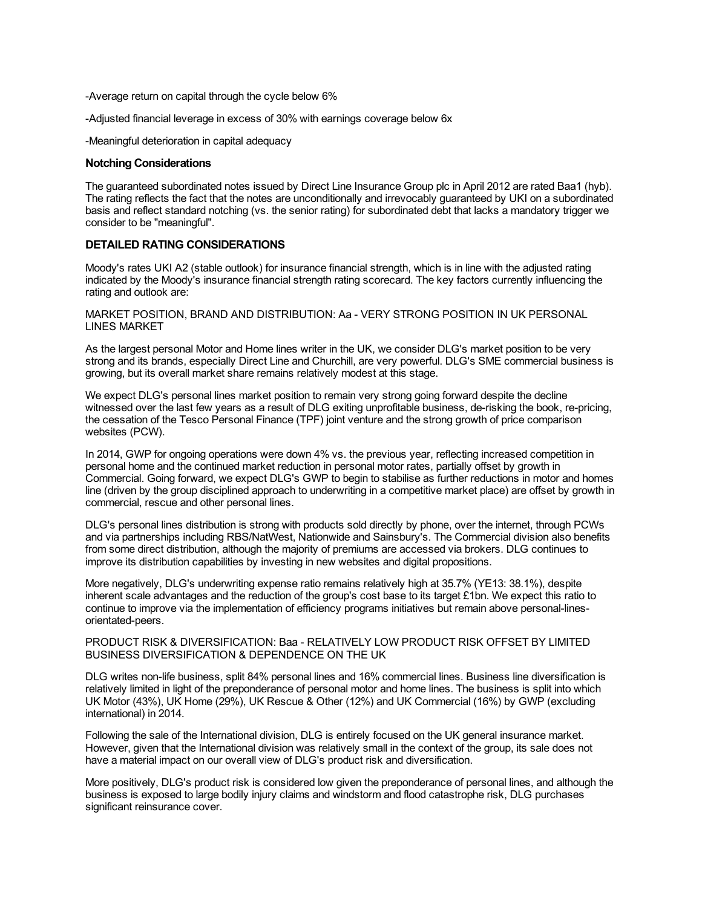-Average return on capital through the cycle below 6%

-Adjusted financial leverage in excess of 30% with earnings coverage below 6x

-Meaningful deterioration in capital adequacy

#### **Notching Considerations**

The guaranteed subordinated notes issued by Direct Line Insurance Group plc in April 2012 are rated Baa1 (hyb). The rating reflects the fact that the notes are unconditionally and irrevocably guaranteed by UKI on a subordinated basis and reflect standard notching (vs. the senior rating) for subordinated debt that lacks a mandatory trigger we consider to be "meaningful".

#### **DETAILED RATING CONSIDERATIONS**

Moody's rates UKI A2 (stable outlook) for insurance financial strength, which is in line with the adjusted rating indicated by the Moody's insurance financial strength rating scorecard. The key factors currently influencing the rating and outlook are:

MARKET POSITION, BRAND AND DISTRIBUTION: Aa - VERY STRONG POSITION IN UK PERSONAL LINES MARKET

As the largest personal Motor and Home lines writer in the UK, we consider DLG's market position to be very strong and its brands, especially Direct Line and Churchill, are very powerful. DLG's SME commercial business is growing, but its overall market share remains relatively modest at this stage.

We expect DLG's personal lines market position to remain very strong going forward despite the decline witnessed over the last few years as a result of DLG exiting unprofitable business, de-risking the book, re-pricing, the cessation of the Tesco Personal Finance (TPF) joint venture and the strong growth of price comparison websites (PCW).

In 2014, GWP for ongoing operations were down 4% vs. the previous year, reflecting increased competition in personal home and the continued market reduction in personal motor rates, partially offset by growth in Commercial. Going forward, we expect DLG's GWP to begin to stabilise as further reductions in motor and homes line (driven by the group disciplined approach to underwriting in a competitive market place) are offset by growth in commercial, rescue and other personal lines.

DLG's personal lines distribution is strong with products sold directly by phone, over the internet, through PCWs and via partnerships including RBS/NatWest, Nationwide and Sainsbury's. The Commercial division also benefits from some direct distribution, although the majority of premiums are accessed via brokers. DLG continues to improve its distribution capabilities by investing in new websites and digital propositions.

More negatively, DLG's underwriting expense ratio remains relatively high at 35.7% (YE13: 38.1%), despite inherent scale advantages and the reduction of the group's cost base to its target £1bn. We expect this ratio to continue to improve via the implementation of efficiency programs initiatives but remain above personal-linesorientated-peers.

#### PRODUCT RISK & DIVERSIFICATION: Baa - RELATIVELY LOW PRODUCT RISK OFFSET BY LIMITED BUSINESS DIVERSIFICATION & DEPENDENCE ON THE UK

DLG writes non-life business, split 84% personal lines and 16% commercial lines. Business line diversification is relatively limited in light of the preponderance of personal motor and home lines. The business is split into which UK Motor (43%), UK Home (29%), UK Rescue & Other (12%) and UK Commercial (16%) by GWP (excluding international) in 2014.

Following the sale of the International division, DLG is entirely focused on the UK general insurance market. However, given that the International division was relatively small in the context of the group, its sale does not have a material impact on our overall view of DLG's product risk and diversification.

More positively, DLG's product risk is considered low given the preponderance of personal lines, and although the business is exposed to large bodily injury claims and windstorm and flood catastrophe risk, DLG purchases significant reinsurance cover.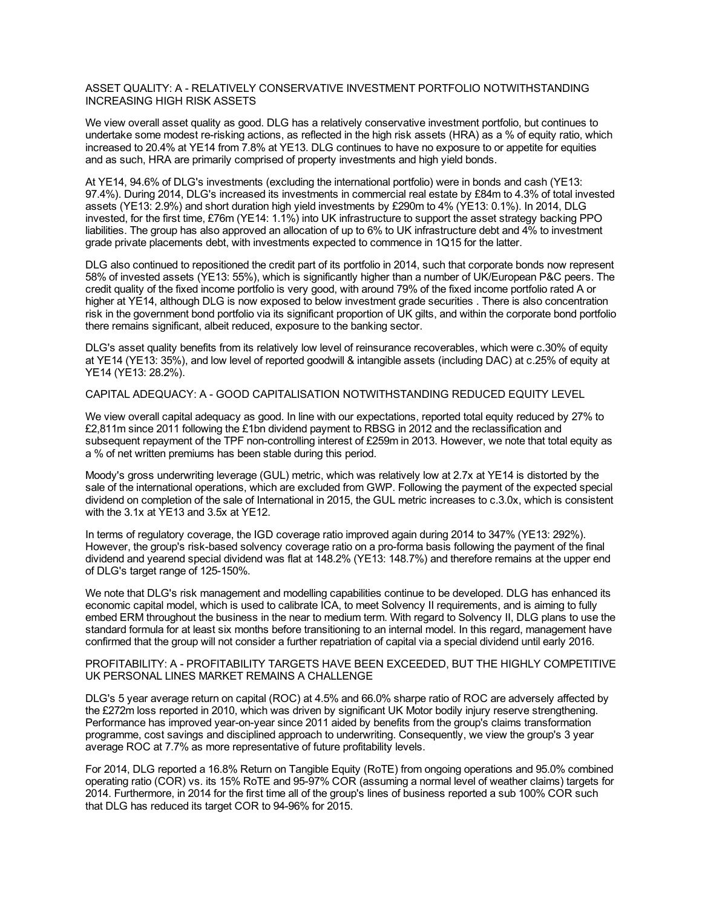#### ASSET QUALITY: A - RELATIVELY CONSERVATIVE INVESTMENT PORTFOLIO NOTWITHSTANDING INCREASING HIGH RISK ASSETS

We view overall asset quality as good. DLG has a relatively conservative investment portfolio, but continues to undertake some modest re-risking actions, as reflected in the high risk assets (HRA) as a % of equity ratio, which increased to 20.4% at YE14 from 7.8% at YE13. DLG continues to have no exposure to or appetite for equities and as such, HRA are primarily comprised of property investments and high yield bonds.

At YE14, 94.6% of DLG's investments (excluding the international portfolio) were in bonds and cash (YE13: 97.4%). During 2014, DLG's increased its investments in commercial real estate by £84m to 4.3% of total invested assets (YE13: 2.9%) and short duration high yield investments by £290m to 4% (YE13: 0.1%). In 2014, DLG invested, for the first time, £76m (YE14: 1.1%) into UK infrastructure to support the asset strategy backing PPO liabilities. The group has also approved an allocation of up to 6% to UK infrastructure debt and 4% to investment grade private placements debt, with investments expected to commence in 1Q15 for the latter.

DLG also continued to repositioned the credit part of its portfolio in 2014, such that corporate bonds now represent 58% of invested assets (YE13: 55%), which is significantly higher than a number of UK/European P&C peers. The credit quality of the fixed income portfolio is very good, with around 79% of the fixed income portfolio rated A or higher at YE14, although DLG is now exposed to below investment grade securities . There is also concentration risk in the government bond portfolio via its significant proportion of UK gilts, and within the corporate bond portfolio there remains significant, albeit reduced, exposure to the banking sector.

DLG's asset quality benefits from its relatively low level of reinsurance recoverables, which were c.30% of equity at YE14 (YE13: 35%), and low level of reported goodwill & intangible assets (including DAC) at c.25% of equity at YE14 (YE13: 28.2%).

### CAPITAL ADEQUACY: A - GOOD CAPITALISATION NOTWITHSTANDING REDUCED EQUITY LEVEL

We view overall capital adequacy as good. In line with our expectations, reported total equity reduced by 27% to £2,811m since 2011 following the £1bn dividend payment to RBSG in 2012 and the reclassification and subsequent repayment of the TPF non-controlling interest of £259m in 2013. However, we note that total equity as a % of net written premiums has been stable during this period.

Moody's gross underwriting leverage (GUL) metric, which was relatively low at 2.7x at YE14 is distorted by the sale of the international operations, which are excluded from GWP. Following the payment of the expected special dividend on completion of the sale of International in 2015, the GUL metric increases to c.3.0x, which is consistent with the 3.1x at YE13 and 3.5x at YE12.

In terms of regulatory coverage, the IGD coverage ratio improved again during 2014 to 347% (YE13: 292%). However, the group's risk-based solvency coverage ratio on a pro-forma basis following the payment of the final dividend and yearend special dividend was flat at 148.2% (YE13: 148.7%) and therefore remains at the upper end of DLG's target range of 125-150%.

We note that DLG's risk management and modelling capabilities continue to be developed. DLG has enhanced its economic capital model, which is used to calibrate ICA, to meet Solvency II requirements, and is aiming to fully embed ERM throughout the business in the near to medium term. With regard to Solvency II, DLG plans to use the standard formula for at least six months before transitioning to an internal model. In this regard, management have confirmed that the group will not consider a further repatriation of capital via a special dividend until early 2016.

PROFITABILITY: A - PROFITABILITY TARGETS HAVE BEEN EXCEEDED, BUT THE HIGHLY COMPETITIVE UK PERSONAL LINES MARKET REMAINS A CHALLENGE

DLG's 5 year average return on capital (ROC) at 4.5% and 66.0% sharpe ratio of ROC are adversely affected by the £272m loss reported in 2010, which was driven by significant UK Motor bodily injury reserve strengthening. Performance has improved year-on-year since 2011 aided by benefits from the group's claims transformation programme, cost savings and disciplined approach to underwriting. Consequently, we view the group's 3 year average ROC at 7.7% as more representative of future profitability levels.

For 2014, DLG reported a 16.8% Return on Tangible Equity (RoTE) from ongoing operations and 95.0% combined operating ratio (COR) vs. its 15% RoTE and 95-97% COR (assuming a normal level of weather claims) targets for 2014. Furthermore, in 2014 for the first time all of the group's lines of business reported a sub 100% COR such that DLG has reduced its target COR to 94-96% for 2015.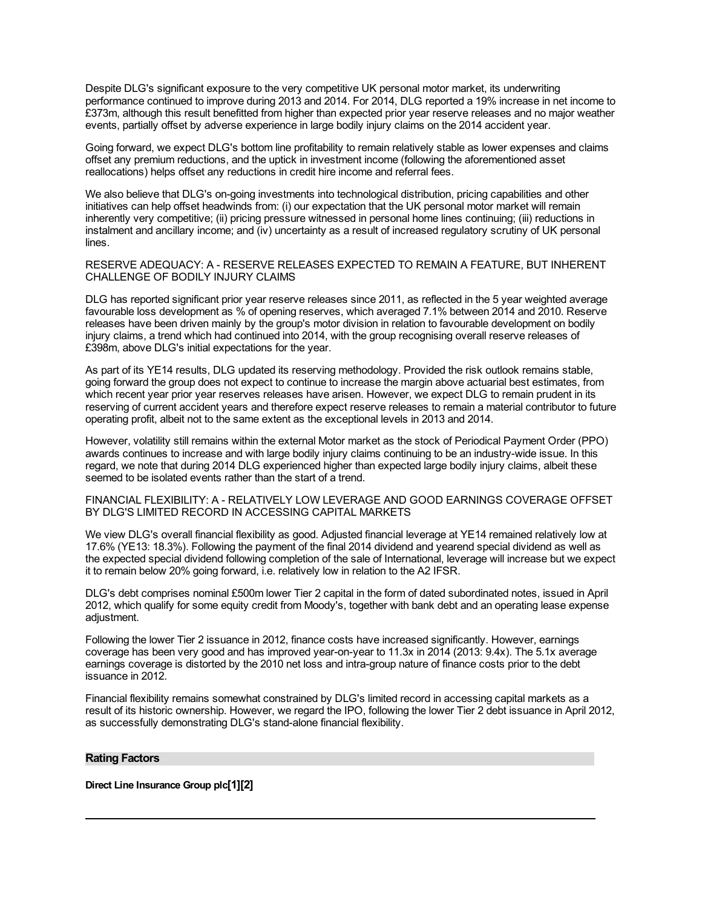Despite DLG's significant exposure to the very competitive UK personal motor market, its underwriting performance continued to improve during 2013 and 2014. For 2014, DLG reported a 19% increase in net income to £373m, although this result benefitted from higher than expected prior year reserve releases and no major weather events, partially offset by adverse experience in large bodily injury claims on the 2014 accident year.

Going forward, we expect DLG's bottom line profitability to remain relatively stable as lower expenses and claims offset any premium reductions, and the uptick in investment income (following the aforementioned asset reallocations) helps offset any reductions in credit hire income and referral fees.

We also believe that DLG's on-going investments into technological distribution, pricing capabilities and other initiatives can help offset headwinds from: (i) our expectation that the UK personal motor market will remain inherently very competitive; (ii) pricing pressure witnessed in personal home lines continuing; (iii) reductions in instalment and ancillary income; and (iv) uncertainty as a result of increased regulatory scrutiny of UK personal lines.

RESERVE ADEQUACY: A - RESERVE RELEASES EXPECTED TO REMAIN A FEATURE, BUT INHERENT CHALLENGE OF BODILY INJURY CLAIMS

DLG has reported significant prior year reserve releases since 2011, as reflected in the 5 year weighted average favourable loss development as % of opening reserves, which averaged 7.1% between 2014 and 2010. Reserve releases have been driven mainly by the group's motor division in relation to favourable development on bodily injury claims, a trend which had continued into 2014, with the group recognising overall reserve releases of £398m, above DLG's initial expectations for the year.

As part of its YE14 results, DLG updated its reserving methodology. Provided the risk outlook remains stable, going forward the group does not expect to continue to increase the margin above actuarial best estimates, from which recent year prior year reserves releases have arisen. However, we expect DLG to remain prudent in its reserving of current accident years and therefore expect reserve releases to remain a material contributor to future operating profit, albeit not to the same extent as the exceptional levels in 2013 and 2014.

However, volatility still remains within the external Motor market as the stock of Periodical Payment Order (PPO) awards continues to increase and with large bodily injury claims continuing to be an industry-wide issue. In this regard, we note that during 2014 DLG experienced higher than expected large bodily injury claims, albeit these seemed to be isolated events rather than the start of a trend.

FINANCIAL FLEXIBILITY: A - RELATIVELY LOW LEVERAGE AND GOOD EARNINGS COVERAGE OFFSET BY DLG'S LIMITED RECORD IN ACCESSING CAPITAL MARKETS

We view DLG's overall financial flexibility as good. Adjusted financial leverage at YE14 remained relatively low at 17.6% (YE13: 18.3%). Following the payment of the final 2014 dividend and yearend special dividend as well as the expected special dividend following completion of the sale of International, leverage will increase but we expect it to remain below 20% going forward, i.e. relatively low in relation to the A2 IFSR.

DLG's debt comprises nominal £500m lower Tier 2 capital in the form of dated subordinated notes, issued in April 2012, which qualify for some equity credit from Moody's, together with bank debt and an operating lease expense adjustment.

Following the lower Tier 2 issuance in 2012, finance costs have increased significantly. However, earnings coverage has been very good and has improved year-on-year to 11.3x in 2014 (2013: 9.4x). The 5.1x average earnings coverage is distorted by the 2010 net loss and intra-group nature of finance costs prior to the debt issuance in 2012.

Financial flexibility remains somewhat constrained by DLG's limited record in accessing capital markets as a result of its historic ownership. However, we regard the IPO, following the lower Tier 2 debt issuance in April 2012, as successfully demonstrating DLG's stand-alone financial flexibility.

#### **Rating Factors**

**Direct Line Insurance Group plc[1][2]**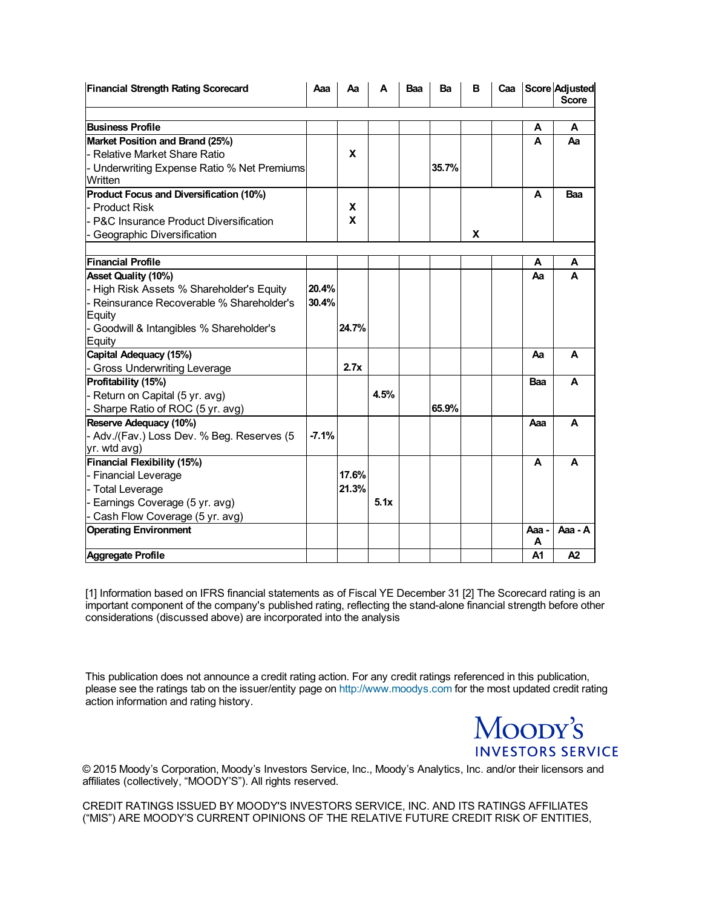| <b>Financial Strength Rating Scorecard</b>           | Aaa     | Аa    | A    | Baa | Ba    | в | Caa |            | Score Adjusted<br><b>Score</b> |
|------------------------------------------------------|---------|-------|------|-----|-------|---|-----|------------|--------------------------------|
| <b>Business Profile</b>                              |         |       |      |     |       |   |     | A          | A                              |
| Market Position and Brand (25%)                      |         |       |      |     |       |   |     | A          | Aa                             |
| - Relative Market Share Ratio                        |         | x     |      |     |       |   |     |            |                                |
| Underwriting Expense Ratio % Net Premiums<br>Written |         |       |      |     | 35.7% |   |     |            |                                |
| Product Focus and Diversification (10%)              |         |       |      |     |       |   |     | A          | Baa                            |
| <b>Product Risk</b>                                  |         | X     |      |     |       |   |     |            |                                |
| - P&C Insurance Product Diversification              |         | X     |      |     |       |   |     |            |                                |
| Geographic Diversification                           |         |       |      |     |       | x |     |            |                                |
| <b>Financial Profile</b>                             |         |       |      |     |       |   |     | Α          | Α                              |
| <b>Asset Quality (10%)</b>                           |         |       |      |     |       |   |     | Αа         | A                              |
| - High Risk Assets % Shareholder's Equity            | 20.4%   |       |      |     |       |   |     |            |                                |
| - Reinsurance Recoverable % Shareholder's            | 30.4%   |       |      |     |       |   |     |            |                                |
| <b>Equity</b>                                        |         |       |      |     |       |   |     |            |                                |
| Goodwill & Intangibles % Shareholder's               |         | 24.7% |      |     |       |   |     |            |                                |
| Equity                                               |         |       |      |     |       |   |     |            |                                |
| Capital Adequacy (15%)                               |         |       |      |     |       |   |     | Aa         | A                              |
| <b>Gross Underwriting Leverage</b>                   |         | 2.7x  |      |     |       |   |     |            |                                |
| Profitability (15%)                                  |         |       |      |     |       |   |     | Baa        | A                              |
| Return on Capital (5 yr. avg)                        |         |       | 4.5% |     |       |   |     |            |                                |
| Sharpe Ratio of ROC (5 yr. avg)                      |         |       |      |     | 65.9% |   |     |            |                                |
| Reserve Adequacy (10%)                               |         |       |      |     |       |   |     | Ааа        | A                              |
| - Adv./(Fav.) Loss Dev. % Beg. Reserves (5           | $-7.1%$ |       |      |     |       |   |     |            |                                |
| yr. wtd avg)                                         |         |       |      |     |       |   |     |            |                                |
| <b>Financial Flexibility (15%)</b>                   |         |       |      |     |       |   |     | A          | A                              |
| <b>Financial Leverage</b>                            |         | 17.6% |      |     |       |   |     |            |                                |
| - Total Leverage                                     |         | 21.3% |      |     |       |   |     |            |                                |
| Earnings Coverage (5 yr. avg)                        |         |       | 5.1x |     |       |   |     |            |                                |
| Cash Flow Coverage (5 yr. avg)                       |         |       |      |     |       |   |     |            |                                |
| <b>Operating Environment</b>                         |         |       |      |     |       |   |     | Aaa -<br>Α | Aaa - A                        |
| <b>Aggregate Profile</b>                             |         |       |      |     |       |   |     | A1         | A2                             |

[1] Information based on IFRS financial statements as of Fiscal YE December 31 [2] The Scorecard rating is an important component of the company's published rating, reflecting the stand-alone financial strength before other considerations (discussed above) are incorporated into the analysis

This publication does not announce a credit rating action. For any credit ratings referenced in this publication, please see the ratings tab on the issuer/entity page on [http://www.moodys.com](http://www.moodys.com/) for the most updated credit rating action information and rating history.

> Moody's **INVESTORS SERVICE**

© 2015 Moody's Corporation, Moody's Investors Service, Inc., Moody's Analytics, Inc. and/or their licensors and affiliates (collectively, "MOODY'S"). All rights reserved.

CREDIT RATINGS ISSUED BY MOODY'S INVESTORS SERVICE, INC. AND ITS RATINGS AFFILIATES ("MIS") ARE MOODY'S CURRENT OPINIONS OF THE RELATIVE FUTURE CREDIT RISK OF ENTITIES,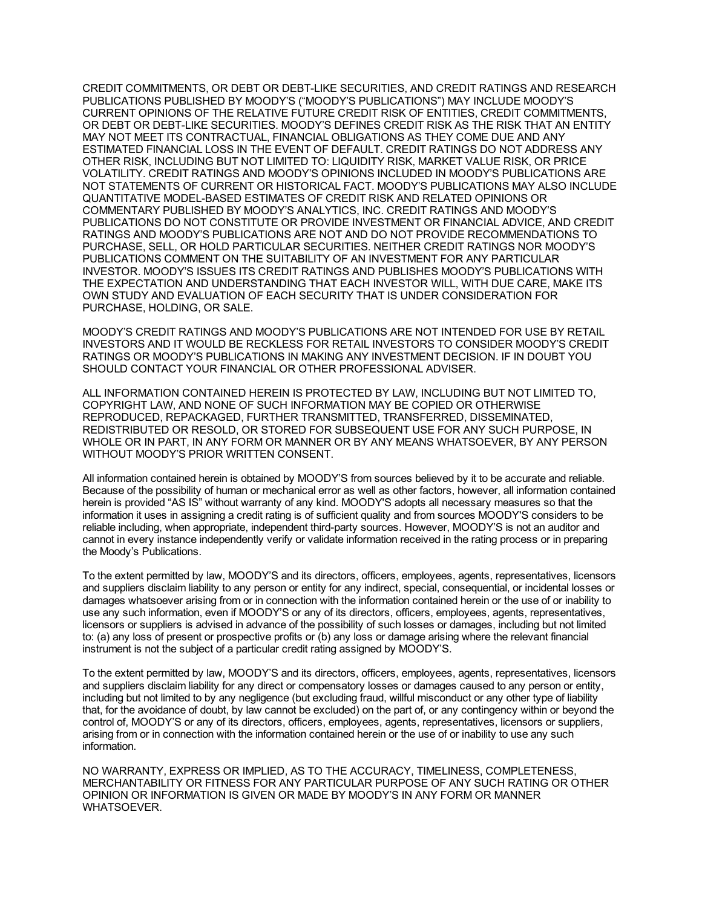CREDIT COMMITMENTS, OR DEBT OR DEBT-LIKE SECURITIES, AND CREDIT RATINGS AND RESEARCH PUBLICATIONS PUBLISHED BY MOODY'S ("MOODY'S PUBLICATIONS") MAY INCLUDE MOODY'S CURRENT OPINIONS OF THE RELATIVE FUTURE CREDIT RISK OF ENTITIES, CREDIT COMMITMENTS, OR DEBT OR DEBT-LIKE SECURITIES. MOODY'S DEFINES CREDIT RISK AS THE RISK THAT AN ENTITY MAY NOT MEET ITS CONTRACTUAL, FINANCIAL OBLIGATIONS AS THEY COME DUE AND ANY ESTIMATED FINANCIAL LOSS IN THE EVENT OF DEFAULT. CREDIT RATINGS DO NOT ADDRESS ANY OTHER RISK, INCLUDING BUT NOT LIMITED TO: LIQUIDITY RISK, MARKET VALUE RISK, OR PRICE VOLATILITY. CREDIT RATINGS AND MOODY'S OPINIONS INCLUDED IN MOODY'S PUBLICATIONS ARE NOT STATEMENTS OF CURRENT OR HISTORICAL FACT. MOODY'S PUBLICATIONS MAY ALSO INCLUDE QUANTITATIVE MODEL-BASED ESTIMATES OF CREDIT RISK AND RELATED OPINIONS OR COMMENTARY PUBLISHED BY MOODY'S ANALYTICS, INC. CREDIT RATINGS AND MOODY'S PUBLICATIONS DO NOT CONSTITUTE OR PROVIDE INVESTMENT OR FINANCIAL ADVICE, AND CREDIT RATINGS AND MOODY'S PUBLICATIONS ARE NOT AND DO NOT PROVIDE RECOMMENDATIONS TO PURCHASE, SELL, OR HOLD PARTICULAR SECURITIES. NEITHER CREDIT RATINGS NOR MOODY'S PUBLICATIONS COMMENT ON THE SUITABILITY OF AN INVESTMENT FOR ANY PARTICULAR INVESTOR. MOODY'S ISSUES ITS CREDIT RATINGS AND PUBLISHES MOODY'S PUBLICATIONS WITH THE EXPECTATION AND UNDERSTANDING THAT EACH INVESTOR WILL, WITH DUE CARE, MAKE ITS OWN STUDY AND EVALUATION OF EACH SECURITY THAT IS UNDER CONSIDERATION FOR PURCHASE, HOLDING, OR SALE.

MOODY'S CREDIT RATINGS AND MOODY'S PUBLICATIONS ARE NOT INTENDED FOR USE BY RETAIL INVESTORS AND IT WOULD BE RECKLESS FOR RETAIL INVESTORS TO CONSIDER MOODY'S CREDIT RATINGS OR MOODY'S PUBLICATIONS IN MAKING ANY INVESTMENT DECISION. IF IN DOUBT YOU SHOULD CONTACT YOUR FINANCIAL OR OTHER PROFESSIONAL ADVISER.

ALL INFORMATION CONTAINED HEREIN IS PROTECTED BY LAW, INCLUDING BUT NOT LIMITED TO, COPYRIGHT LAW, AND NONE OF SUCH INFORMATION MAY BE COPIED OR OTHERWISE REPRODUCED, REPACKAGED, FURTHER TRANSMITTED, TRANSFERRED, DISSEMINATED, REDISTRIBUTED OR RESOLD, OR STORED FOR SUBSEQUENT USE FOR ANY SUCH PURPOSE, IN WHOLE OR IN PART, IN ANY FORM OR MANNER OR BY ANY MEANS WHATSOEVER, BY ANY PERSON WITHOUT MOODY'S PRIOR WRITTEN CONSENT.

All information contained herein is obtained by MOODY'S from sources believed by it to be accurate and reliable. Because of the possibility of human or mechanical error as well as other factors, however, all information contained herein is provided "AS IS" without warranty of any kind. MOODY'S adopts all necessary measures so that the information it uses in assigning a credit rating is of sufficient quality and from sources MOODY'S considers to be reliable including, when appropriate, independent third-party sources. However, MOODY'S is not an auditor and cannot in every instance independently verify or validate information received in the rating process or in preparing the Moody's Publications.

To the extent permitted by law, MOODY'S and its directors, officers, employees, agents, representatives, licensors and suppliers disclaim liability to any person or entity for any indirect, special, consequential, or incidental losses or damages whatsoever arising from or in connection with the information contained herein or the use of or inability to use any such information, even if MOODY'S or any of its directors, officers, employees, agents, representatives, licensors or suppliers is advised in advance of the possibility of such losses or damages, including but not limited to: (a) any loss of present or prospective profits or (b) any loss or damage arising where the relevant financial instrument is not the subject of a particular credit rating assigned by MOODY'S.

To the extent permitted by law, MOODY'S and its directors, officers, employees, agents, representatives, licensors and suppliers disclaim liability for any direct or compensatory losses or damages caused to any person or entity, including but not limited to by any negligence (but excluding fraud, willful misconduct or any other type of liability that, for the avoidance of doubt, by law cannot be excluded) on the part of, or any contingency within or beyond the control of, MOODY'S or any of its directors, officers, employees, agents, representatives, licensors or suppliers, arising from or in connection with the information contained herein or the use of or inability to use any such information.

NO WARRANTY, EXPRESS OR IMPLIED, AS TO THE ACCURACY, TIMELINESS, COMPLETENESS, MERCHANTABILITY OR FITNESS FOR ANY PARTICULAR PURPOSE OF ANY SUCH RATING OR OTHER OPINION OR INFORMATION IS GIVEN OR MADE BY MOODY'S IN ANY FORM OR MANNER WHATSOEVER.